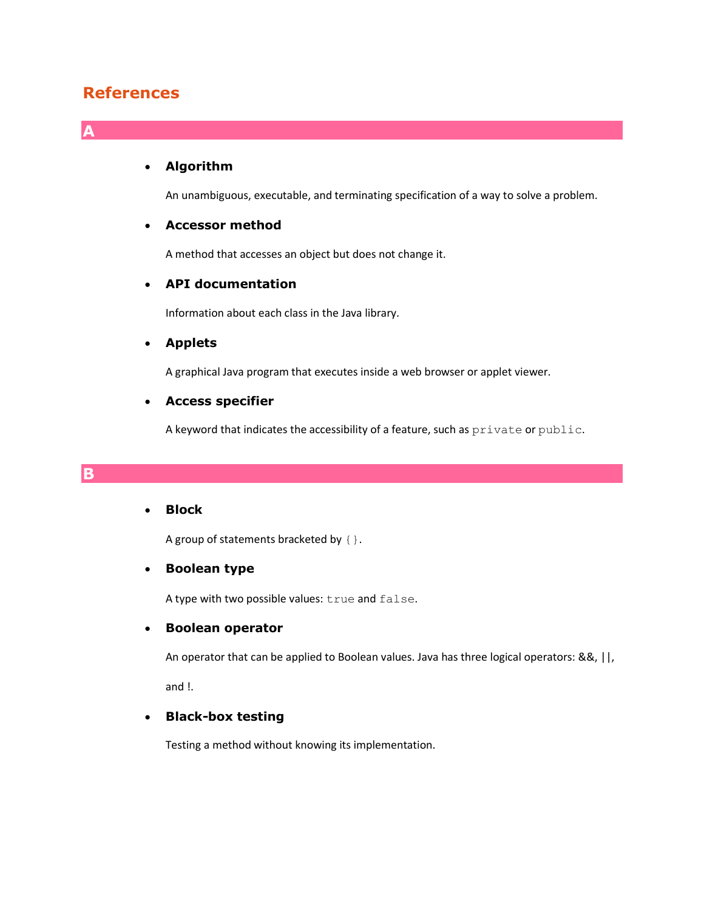# **References**

**A**

**B**

## **Algorithm**

An unambiguous, executable, and terminating specification of a way to solve a problem.

## **Accessor method**

A method that accesses an object but does not change it.

## **API documentation**

Information about each class in the Java library.

#### **Applets**

A graphical Java program that executes inside a web browser or applet viewer.

#### **Access specifier**

A keyword that indicates the accessibility of a feature, such as  $\text{private}$  or  $\text{public.}$ 

## **Block**

A group of statements bracketed by  $\{\}$ .

## **Boolean type**

A type with two possible values: true and false.

#### **Boolean operator**

An operator that can be applied to Boolean values. Java has three logical operators: &&, ||, and !.

## **Black-box testing**

Testing a method without knowing its implementation.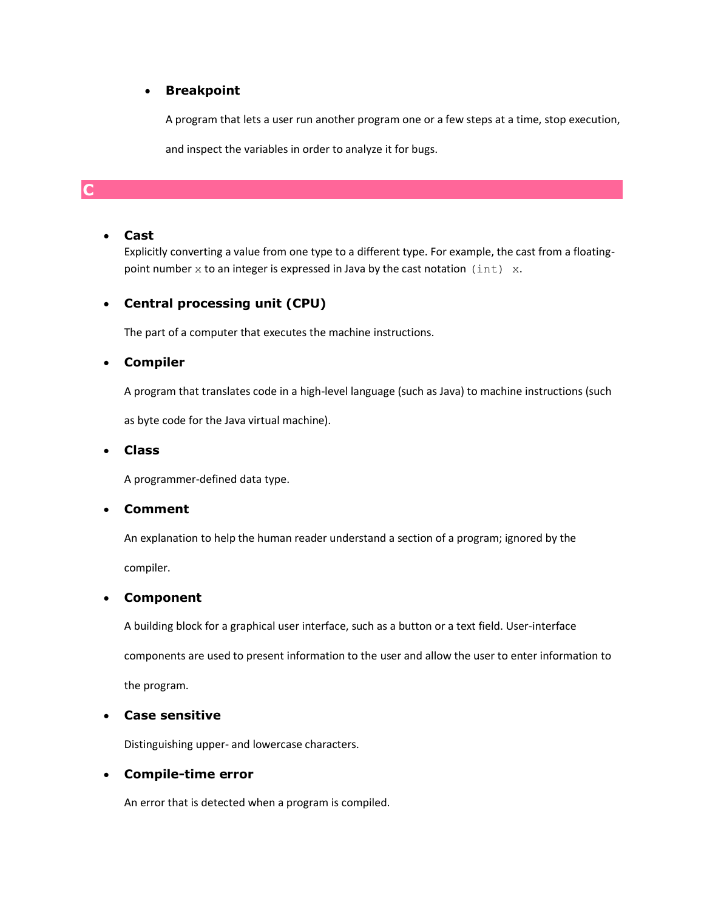## **Breakpoint**

A program that lets a user run another program one or a few steps at a time, stop execution,

and inspect the variables in order to analyze it for bugs.

# **C**

## **Cast**

Explicitly converting a value from one type to a different type. For example, the cast from a floatingpoint number  $x$  to an integer is expressed in Java by the cast notation  $(int) x$ .

## **Central processing unit (CPU)**

The part of a computer that executes the machine instructions.

## **Compiler**

A program that translates code in a high-level language (such as Java) to machine instructions (such

as byte code for the Java virtual machine).

## **Class**

A programmer-defined data type.

## **Comment**

An explanation to help the human reader understand a section of a program; ignored by the

compiler.

## **Component**

A building block for a graphical user interface, such as a button or a text field. User-interface

components are used to present information to the user and allow the user to enter information to

the program.

## **Case sensitive**

Distinguishing upper- and lowercase characters.

## **Compile-time error**

An error that is detected when a program is compiled.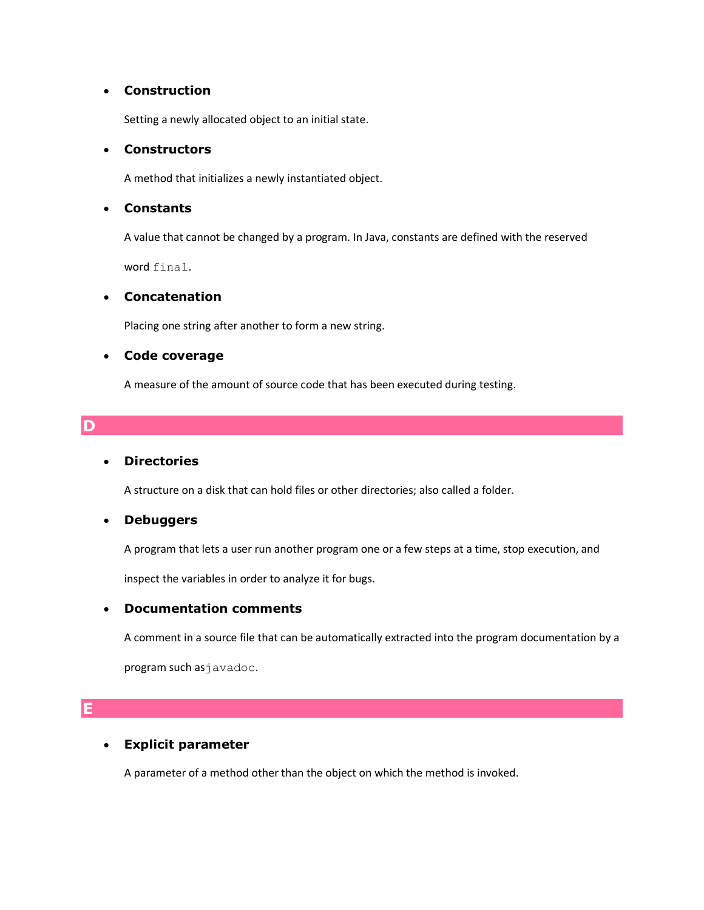## **Construction**

Setting a newly allocated object to an initial state.

## **Constructors**

A method that initializes a newly instantiated object.

## **Constants**

A value that cannot be changed by a program. In Java, constants are defined with the reserved word final.

## **Concatenation**

Placing one string after another to form a new string.

## **Code coverage**

A measure of the amount of source code that has been executed during testing.

# **D**

## **Directories**

A structure on a disk that can hold files or other directories; also called a folder.

## **Debuggers**

A program that lets a user run another program one or a few steps at a time, stop execution, and

inspect the variables in order to analyze it for bugs.

## **Documentation comments**

A comment in a source file that can be automatically extracted into the program documentation by a

program such asjavadoc.

## **E**

## **Explicit parameter**

A parameter of a method other than the object on which the method is invoked.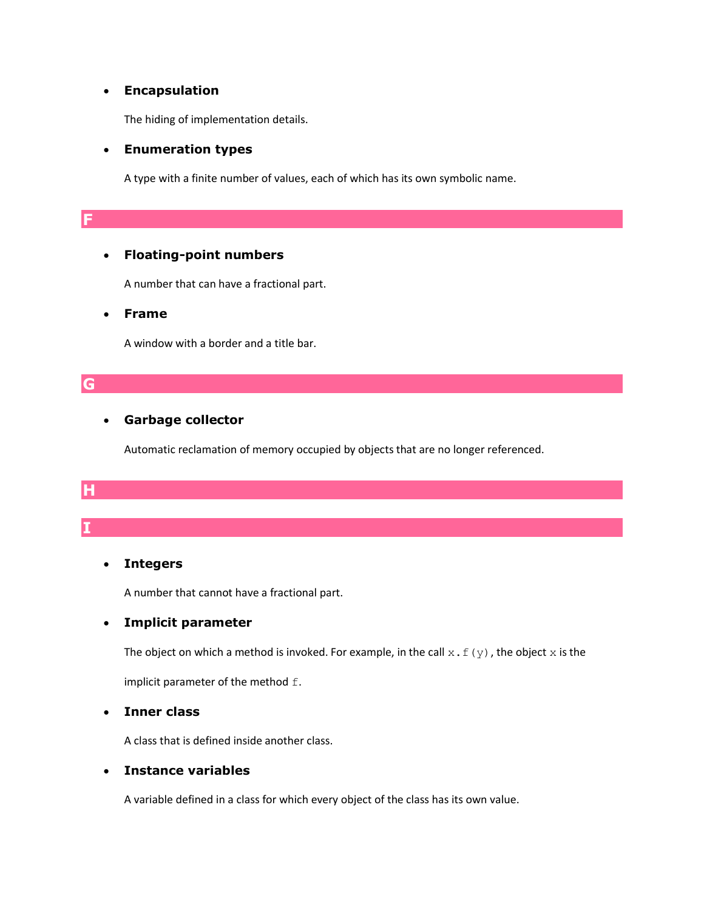#### **Encapsulation**

The hiding of implementation details.

#### **Enumeration types**

A type with a finite number of values, each of which has its own symbolic name.

## **Floating-point numbers**

A number that can have a fractional part.

#### **Frame**

A window with a border and a title bar.

#### **G**

**I**

**F**

## **Garbage collector**

Automatic reclamation of memory occupied by objects that are no longer referenced.

# **H**

## **Integers**

A number that cannot have a fractional part.

## **Implicit parameter**

The object on which a method is invoked. For example, in the call  $x.f(y)$ , the object  $x$  is the

implicit parameter of the method  $f$ .

## **Inner class**

A class that is defined inside another class.

## **Instance variables**

A variable defined in a class for which every object of the class has its own value.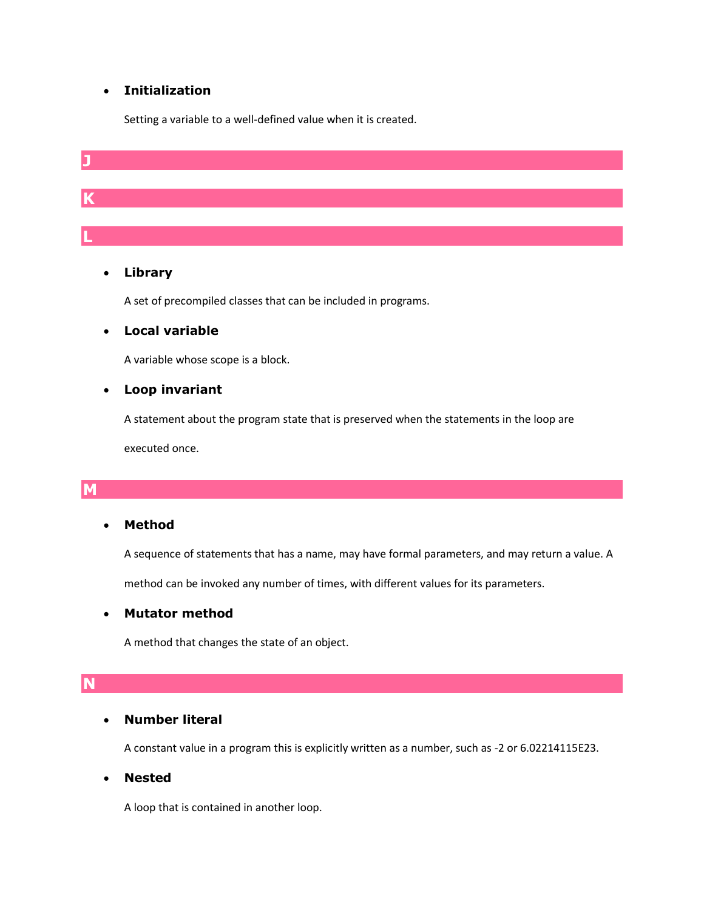# **Initialization**

Setting a variable to a well-defined value when it is created.



## **Library**

A set of precompiled classes that can be included in programs.

## **Local variable**

A variable whose scope is a block.

#### **Loop invariant**

A statement about the program state that is preserved when the statements in the loop are

executed once.

## **M**

## **Method**

A sequence of statements that has a name, may have formal parameters, and may return a value. A

method can be invoked any number of times, with different values for its parameters.

## **Mutator method**

A method that changes the state of an object.

## **N**

## **Number literal**

A constant value in a program this is explicitly written as a number, such as -2 or 6.02214115E23.

## **Nested**

A loop that is contained in another loop.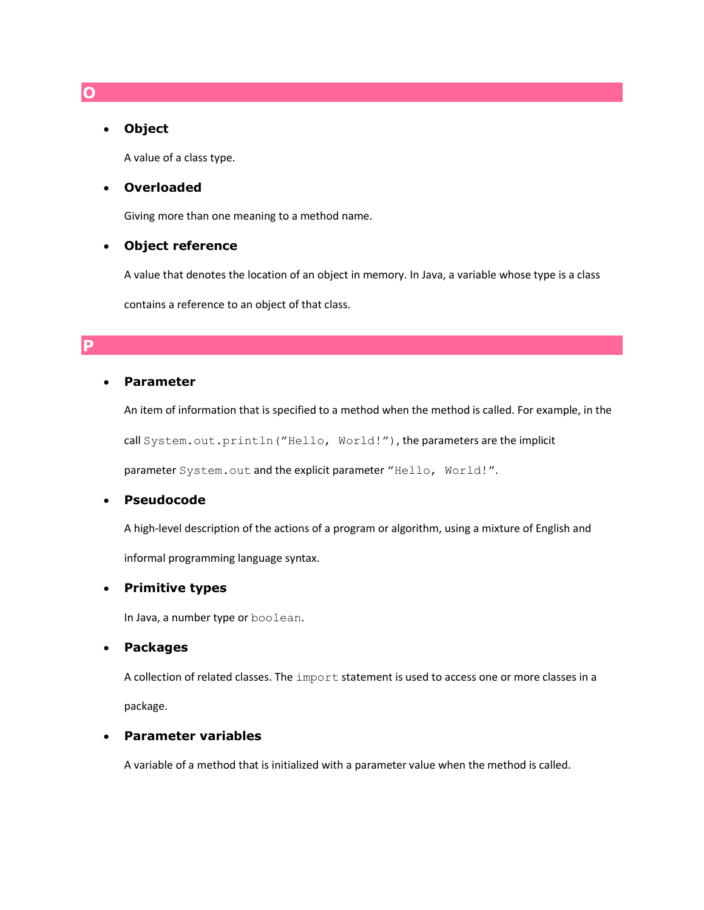#### **Object**

A value of a class type.

#### **Overloaded**

Giving more than one meaning to a method name.

### **Object reference**

A value that denotes the location of an object in memory. In Java, a variable whose type is a class

contains a reference to an object of that class.

#### **P**

#### **Parameter**

An item of information that is specified to a method when the method is called. For example, in the

call System.out.println("Hello, World!"), the parameters are the implicit

parameter System.out and the explicit parameter "Hello, World!".

## **Pseudocode**

A high-level description of the actions of a program or algorithm, using a mixture of English and

informal programming language syntax.

#### **Primitive types**

In Java, a number type or boolean.

#### **Packages**

A collection of related classes. The import statement is used to access one or more classes in a package.

## **Parameter variables**

A variable of a method that is initialized with a parameter value when the method is called.

#### **O**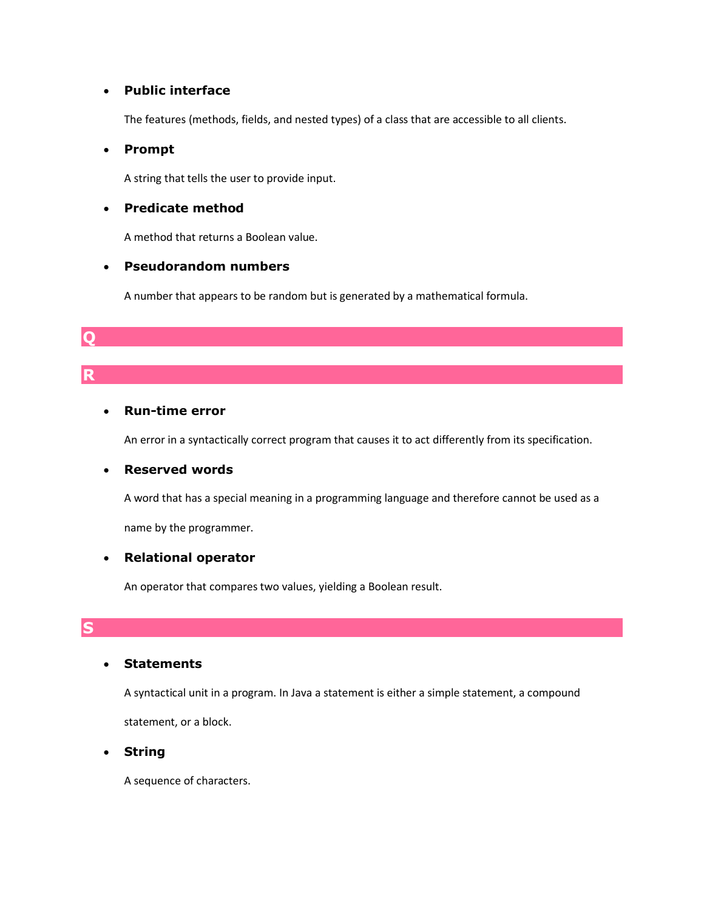## **Public interface**

The features (methods, fields, and nested types) of a class that are accessible to all clients.

## **Prompt**

A string that tells the user to provide input.

## **Predicate method**

A method that returns a Boolean value.

## **Pseudorandom numbers**

A number that appears to be random but is generated by a mathematical formula.

# **Q**

# **R**

## **Run-time error**

An error in a syntactically correct program that causes it to act differently from its specification.

## **Reserved words**

A word that has a special meaning in a programming language and therefore cannot be used as a

name by the programmer.

## **Relational operator**

An operator that compares two values, yielding a Boolean result.

## **S**

## **Statements**

A syntactical unit in a program. In Java a statement is either a simple statement, a compound statement, or a block.

**String**

A sequence of characters.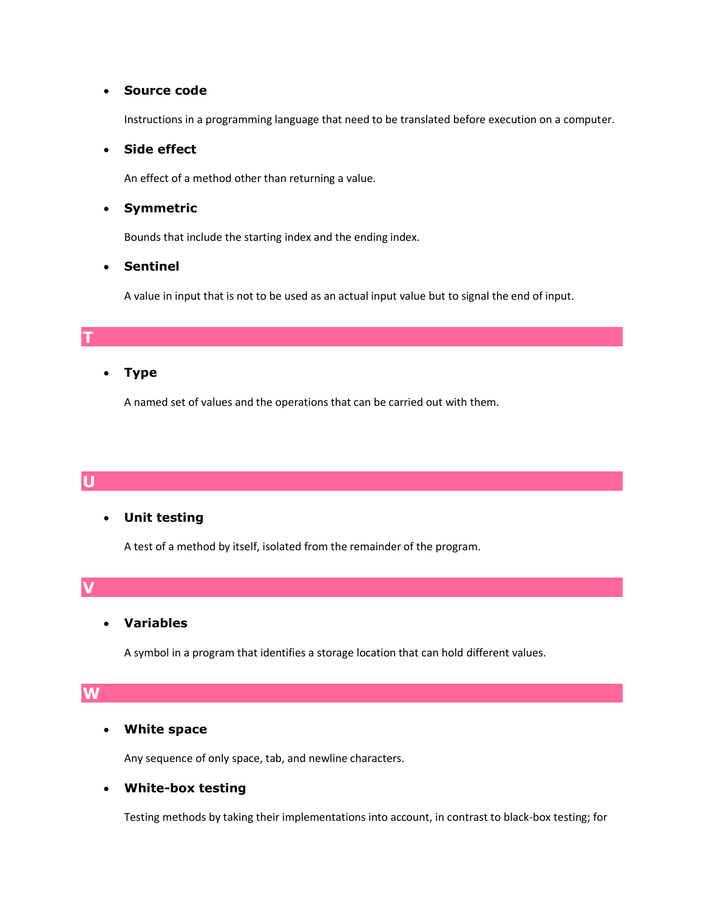## **Source code**

Instructions in a programming language that need to be translated before execution on a computer.

#### **Side effect**

An effect of a method other than returning a value.

### **Symmetric**

Bounds that include the starting index and the ending index.

## **Sentinel**

A value in input that is not to be used as an actual input value but to signal the end of input.

## **Type**

A named set of values and the operations that can be carried out with them.

## **U**

**T**

## **Unit testing**

A test of a method by itself, isolated from the remainder of the program.

**V**

## **Variables**

A symbol in a program that identifies a storage location that can hold different values.

## **W**

#### **White space**

Any sequence of only space, tab, and newline characters.

## **White-box testing**

Testing methods by taking their implementations into account, in contrast to black-box testing; for